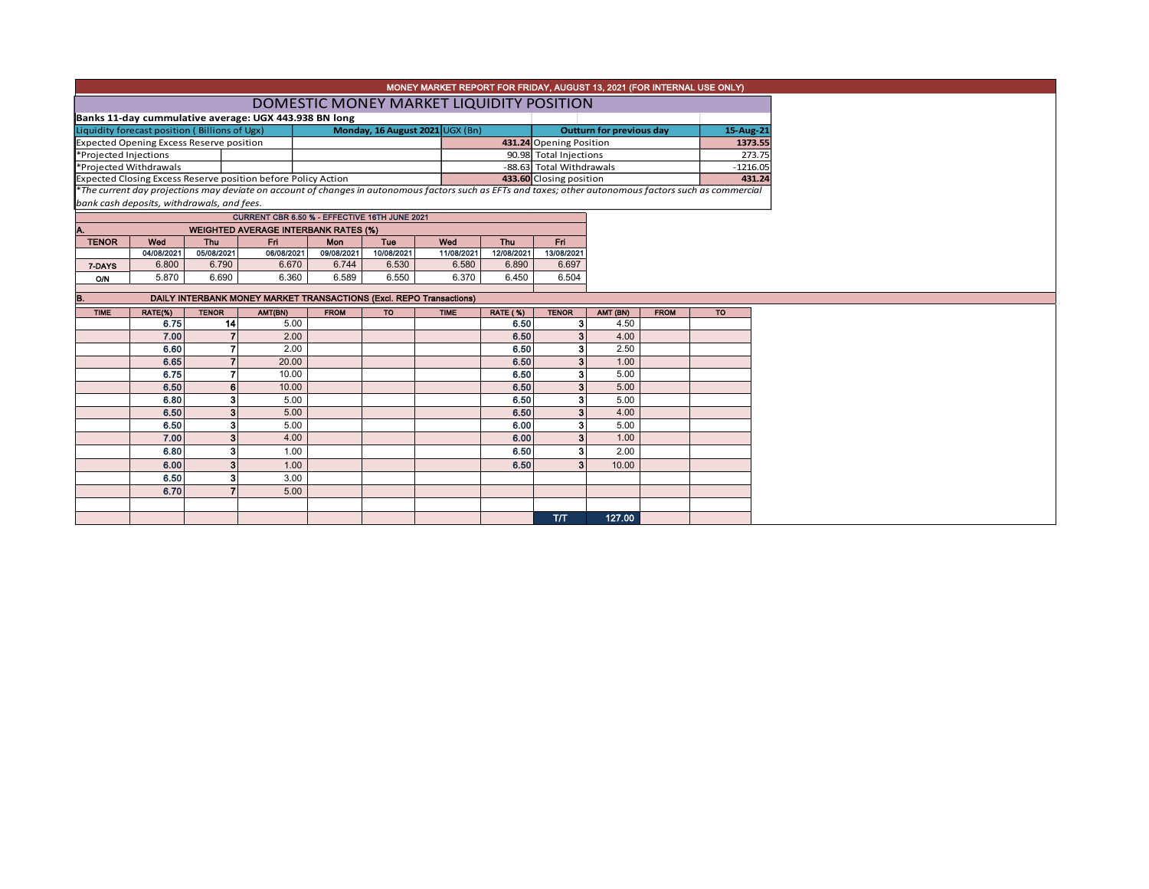| MONEY MARKET REPORT FOR FRIDAY, AUGUST 13, 2021 (FOR INTERNAL USE ONLY) |                                                                                                                                                          |                         |                                                                     |             |                                 |                         |                          |                         |          |             |           |  |
|-------------------------------------------------------------------------|----------------------------------------------------------------------------------------------------------------------------------------------------------|-------------------------|---------------------------------------------------------------------|-------------|---------------------------------|-------------------------|--------------------------|-------------------------|----------|-------------|-----------|--|
|                                                                         | DOMESTIC MONEY MARKET LIQUIDITY POSITION                                                                                                                 |                         |                                                                     |             |                                 |                         |                          |                         |          |             |           |  |
|                                                                         | Banks 11-day cummulative average: UGX 443.938 BN long                                                                                                    |                         |                                                                     |             |                                 |                         |                          |                         |          |             |           |  |
|                                                                         | Liquidity forecast position (Billions of Ugx)                                                                                                            |                         |                                                                     |             | <b>Outturn for previous day</b> |                         | 15-Aug-21                |                         |          |             |           |  |
|                                                                         | <b>Expected Opening Excess Reserve position</b>                                                                                                          |                         |                                                                     |             |                                 | 431.24 Opening Position |                          |                         | 1373.55  |             |           |  |
| *Projected Injections                                                   |                                                                                                                                                          |                         |                                                                     |             |                                 |                         | 90.98 Total Injections   |                         |          | 273.75      |           |  |
| *Projected Withdrawals                                                  |                                                                                                                                                          |                         |                                                                     |             |                                 |                         | -88.63 Total Withdrawals |                         |          | $-1216.05$  |           |  |
|                                                                         |                                                                                                                                                          |                         | Expected Closing Excess Reserve position before Policy Action       |             |                                 |                         |                          | 433.60 Closing position |          |             | 431.24    |  |
|                                                                         | *The current day projections may deviate on account of changes in autonomous factors such as EFTs and taxes; other autonomous factors such as commercial |                         |                                                                     |             |                                 |                         |                          |                         |          |             |           |  |
|                                                                         | bank cash deposits, withdrawals, and fees.                                                                                                               |                         |                                                                     |             |                                 |                         |                          |                         |          |             |           |  |
|                                                                         |                                                                                                                                                          |                         | CURRENT CBR 6.50 % - EFFECTIVE 16TH JUNE 2021                       |             |                                 |                         |                          |                         |          |             |           |  |
|                                                                         |                                                                                                                                                          |                         | <b>WEIGHTED AVERAGE INTERBANK RATES (%)</b>                         |             |                                 |                         |                          |                         |          |             |           |  |
| <b>TENOR</b>                                                            | Wed                                                                                                                                                      | Thu                     | Fri.                                                                | Mon         | Tue                             | Wed                     | Thu                      | Fri                     |          |             |           |  |
|                                                                         | 04/08/2021                                                                                                                                               | 05/08/2021              | 06/08/2021                                                          | 09/08/2021  | 10/08/2021                      | 11/08/2021              | 12/08/2021               | 13/08/2021              |          |             |           |  |
| 7-DAYS                                                                  | 6.800                                                                                                                                                    | 6.790                   | 6.670                                                               | 6.744       | 6.530                           | 6.580                   | 6.890                    | 6.697                   |          |             |           |  |
| O/N                                                                     | 5.870                                                                                                                                                    | 6.690                   | 6.360                                                               | 6.589       | 6.550                           | 6.370                   | 6.450                    | 6.504                   |          |             |           |  |
| B.                                                                      |                                                                                                                                                          |                         | DAILY INTERBANK MONEY MARKET TRANSACTIONS (Excl. REPO Transactions) |             |                                 |                         |                          |                         |          |             |           |  |
| <b>TIME</b>                                                             | RATE(%)                                                                                                                                                  | <b>TENOR</b>            | AMT(BN)                                                             | <b>FROM</b> | <b>TO</b>                       | <b>TIME</b>             | <b>RATE (%)</b>          | <b>TENOR</b>            | AMT (BN) | <b>FROM</b> | <b>TO</b> |  |
|                                                                         | 6.75                                                                                                                                                     | 14                      | 5.00                                                                |             |                                 |                         | 6.50                     | 3 <sup>1</sup>          | 4.50     |             |           |  |
|                                                                         | 7.00                                                                                                                                                     | $\overline{ }$          | 2.00                                                                |             |                                 |                         | 6.50                     | $\overline{\mathbf{3}}$ | 4.00     |             |           |  |
|                                                                         | 6.60                                                                                                                                                     | 7                       | 2.00                                                                |             |                                 |                         | 6.50                     | 3 <sup>1</sup>          | 2.50     |             |           |  |
|                                                                         | 6.65                                                                                                                                                     | $\overline{7}$          | 20.00                                                               |             |                                 |                         | 6.50                     | 3 <sup>1</sup>          | 1.00     |             |           |  |
|                                                                         | 6.75                                                                                                                                                     | 7                       | 10.00                                                               |             |                                 |                         | 6.50                     | 3                       | 5.00     |             |           |  |
|                                                                         | 6.50                                                                                                                                                     | 6 <sup>1</sup>          | 10.00                                                               |             |                                 |                         | 6.50                     | $\mathbf{3}$            | 5.00     |             |           |  |
|                                                                         | 6.80                                                                                                                                                     | 3                       | 5.00                                                                |             |                                 |                         | 6.50                     | 3 <sup>1</sup>          | 5.00     |             |           |  |
|                                                                         | 6.50                                                                                                                                                     | 3 <sup>1</sup>          | 5.00                                                                |             |                                 |                         | 6.50                     | $\mathbf{3}$            | 4.00     |             |           |  |
|                                                                         | 6.50                                                                                                                                                     | 3 <sup>1</sup>          | 5.00                                                                |             |                                 |                         | 6.00                     | 3 <sup>1</sup>          | 5.00     |             |           |  |
|                                                                         | 7.00                                                                                                                                                     | $\overline{\mathbf{3}}$ | 4.00                                                                |             |                                 |                         | 6.00                     | $\overline{\mathbf{3}}$ | 1.00     |             |           |  |
|                                                                         | 6.80                                                                                                                                                     | 3 <sup>1</sup>          | 1.00                                                                |             |                                 |                         | 6.50                     | 3 <sup>1</sup>          | 2.00     |             |           |  |
|                                                                         | 6.00                                                                                                                                                     | 3 <sup>1</sup>          | 1.00                                                                |             |                                 |                         | 6.50                     | 3 <sup>1</sup>          | 10.00    |             |           |  |
|                                                                         | 6.50                                                                                                                                                     | 3 <sup>1</sup>          | 3.00                                                                |             |                                 |                         |                          |                         |          |             |           |  |
|                                                                         | 6.70                                                                                                                                                     |                         | 5.00                                                                |             |                                 |                         |                          |                         |          |             |           |  |
|                                                                         |                                                                                                                                                          |                         |                                                                     |             |                                 |                         |                          |                         |          |             |           |  |
|                                                                         |                                                                                                                                                          |                         |                                                                     |             |                                 |                         |                          | TT                      | 127.00   |             |           |  |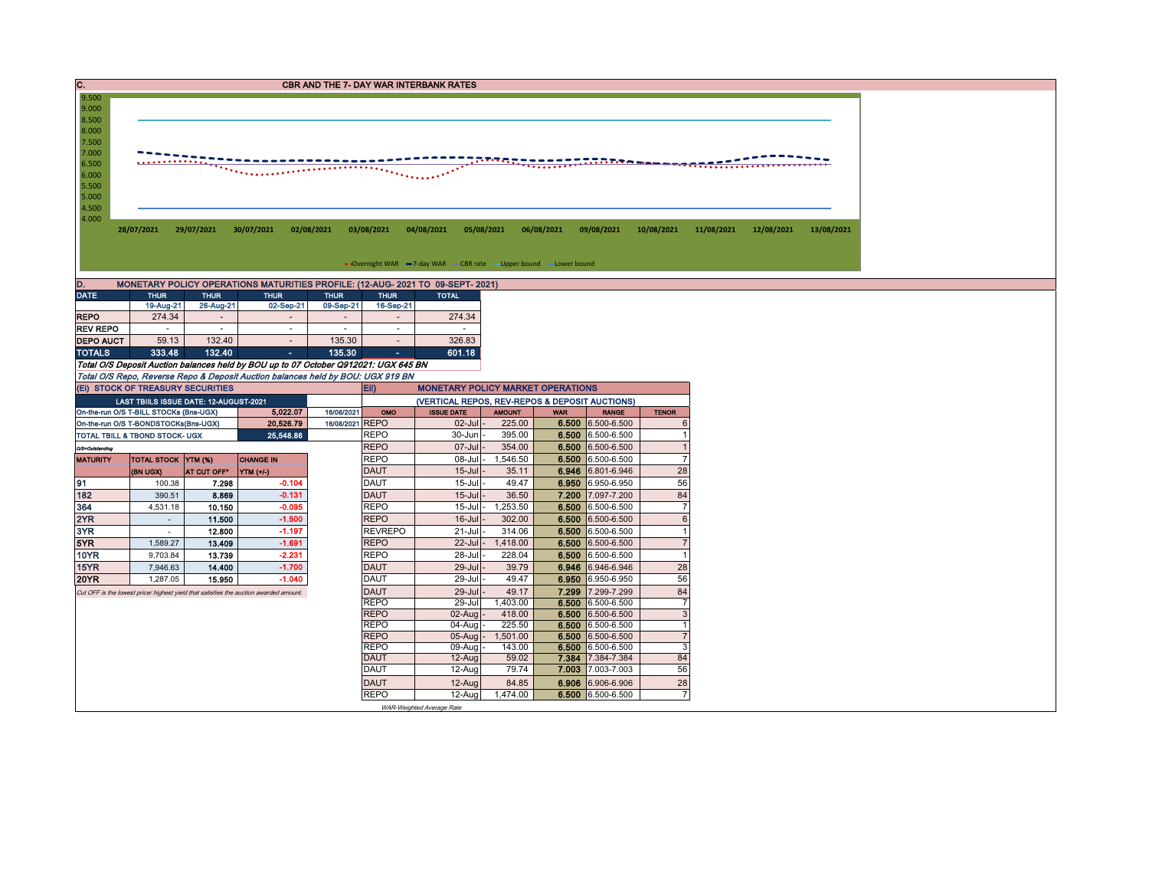| $\overline{\mathbf{c}}$ .                                                | <b>CBR AND THE 7- DAY WAR INTERBANK RATES</b>                                                                                                                                      |                         |                                                                                                                                                                        |                          |                                                |                                          |                   |            |                                        |                                  |  |  |  |  |
|--------------------------------------------------------------------------|------------------------------------------------------------------------------------------------------------------------------------------------------------------------------------|-------------------------|------------------------------------------------------------------------------------------------------------------------------------------------------------------------|--------------------------|------------------------------------------------|------------------------------------------|-------------------|------------|----------------------------------------|----------------------------------|--|--|--|--|
| 9.500                                                                    |                                                                                                                                                                                    |                         |                                                                                                                                                                        |                          |                                                |                                          |                   |            |                                        |                                  |  |  |  |  |
| 9.000<br>8.500                                                           |                                                                                                                                                                                    |                         |                                                                                                                                                                        |                          |                                                |                                          |                   |            |                                        |                                  |  |  |  |  |
| 8.000                                                                    |                                                                                                                                                                                    |                         |                                                                                                                                                                        |                          |                                                |                                          |                   |            |                                        |                                  |  |  |  |  |
| 7.500                                                                    |                                                                                                                                                                                    |                         |                                                                                                                                                                        |                          |                                                |                                          |                   |            |                                        |                                  |  |  |  |  |
| 7.000                                                                    |                                                                                                                                                                                    |                         |                                                                                                                                                                        |                          |                                                |                                          |                   |            |                                        |                                  |  |  |  |  |
| 6.500<br>6.000                                                           | <b>TIME</b><br><del>.</del><br>it e a a a e ti                                                                                                                                     |                         |                                                                                                                                                                        |                          |                                                |                                          |                   |            |                                        |                                  |  |  |  |  |
| 5.500                                                                    |                                                                                                                                                                                    |                         |                                                                                                                                                                        |                          |                                                |                                          |                   |            |                                        |                                  |  |  |  |  |
| 5.000                                                                    |                                                                                                                                                                                    |                         |                                                                                                                                                                        |                          |                                                |                                          |                   |            |                                        |                                  |  |  |  |  |
| 4.500                                                                    |                                                                                                                                                                                    |                         |                                                                                                                                                                        |                          |                                                |                                          |                   |            |                                        |                                  |  |  |  |  |
| 4.000                                                                    |                                                                                                                                                                                    |                         |                                                                                                                                                                        |                          |                                                |                                          |                   |            |                                        |                                  |  |  |  |  |
|                                                                          | 29/07/2021<br>30/07/2021<br>02/08/2021<br>03/08/2021<br>04/08/2021<br>05/08/2021<br>06/08/2021<br>09/08/2021<br>10/08/2021<br>11/08/2021<br>12/08/2021<br>28/07/2021<br>13/08/2021 |                         |                                                                                                                                                                        |                          |                                                |                                          |                   |            |                                        |                                  |  |  |  |  |
|                                                                          |                                                                                                                                                                                    |                         |                                                                                                                                                                        |                          |                                                |                                          |                   |            |                                        |                                  |  |  |  |  |
|                                                                          | • Overnight WAR -7-day WAR - CBR rate - Upper bound - Lower bound                                                                                                                  |                         |                                                                                                                                                                        |                          |                                                |                                          |                   |            |                                        |                                  |  |  |  |  |
| D.                                                                       | MONETARY POLICY OPERATIONS MATURITIES PROFILE: (12-AUG- 2021 TO 09-SEPT- 2021)                                                                                                     |                         |                                                                                                                                                                        |                          |                                                |                                          |                   |            |                                        |                                  |  |  |  |  |
| <b>DATE</b>                                                              | <b>THUR</b>                                                                                                                                                                        | <b>THUR</b>             | <b>THUR</b>                                                                                                                                                            | <b>THUR</b>              | <b>THUR</b>                                    | <b>TOTAL</b>                             |                   |            |                                        |                                  |  |  |  |  |
|                                                                          | 19-Aug-21                                                                                                                                                                          | 26-Aug-21               | 02-Sep-21                                                                                                                                                              | 09-Sep-21                | 16-Sep-21                                      |                                          |                   |            |                                        |                                  |  |  |  |  |
| <b>REPO</b>                                                              | 274.34                                                                                                                                                                             | $\sim$                  | $\sim$                                                                                                                                                                 | $\overline{\phantom{a}}$ | $\sim$                                         | 274.34                                   |                   |            |                                        |                                  |  |  |  |  |
| <b>REV REPO</b>                                                          | $\sim$                                                                                                                                                                             | $\sim$                  | $\sim$                                                                                                                                                                 |                          | $\sim$                                         | $\sim$                                   |                   |            |                                        |                                  |  |  |  |  |
| <b>DEPO AUCT</b>                                                         | 59.13                                                                                                                                                                              | 132.40                  | $\sim$                                                                                                                                                                 | 135.30                   | $\sim$                                         | 326.83                                   |                   |            |                                        |                                  |  |  |  |  |
| <b>TOTALS</b>                                                            | 333,48                                                                                                                                                                             | 132.40                  | $\sim$                                                                                                                                                                 | 135.30                   | ×.                                             | 601.18                                   |                   |            |                                        |                                  |  |  |  |  |
|                                                                          |                                                                                                                                                                                    |                         | Total O/S Deposit Auction balances held by BOU up to 07 October Q912021: UGX 645 BN<br>Total O/S Repo, Reverse Repo & Deposit Auction balances held by BOU: UGX 919 BN |                          |                                                |                                          |                   |            |                                        |                                  |  |  |  |  |
|                                                                          | (EI) STOCK OF TREASURY SECURITIES                                                                                                                                                  |                         |                                                                                                                                                                        |                          | Eii)                                           | <b>MONETARY POLICY MARKET OPERATIONS</b> |                   |            |                                        |                                  |  |  |  |  |
|                                                                          | LAST TBIILS ISSUE DATE: 12-AUGUST-2021                                                                                                                                             |                         |                                                                                                                                                                        |                          | (VERTICAL REPOS, REV-REPOS & DEPOSIT AUCTIONS) |                                          |                   |            |                                        |                                  |  |  |  |  |
|                                                                          | On-the-run O/S T-BILL STOCKs (Bns-UGX)                                                                                                                                             |                         | 5,022.07                                                                                                                                                               | 16/08/2021               | OMO                                            | <b>ISSUE DATE</b>                        | <b>AMOUNT</b>     | <b>WAR</b> | <b>RANGE</b>                           | <b>TENOR</b>                     |  |  |  |  |
|                                                                          | On-the-run O/S T-BONDSTOCKs(Bns-UGX)                                                                                                                                               |                         | 20,526.79                                                                                                                                                              | 16/08/2021 REPO          |                                                | 02-Jul                                   | 225.00            |            | 6.500 6.500-6.500                      | 6                                |  |  |  |  |
|                                                                          | TOTAL TBILL & TBOND STOCK- UGX                                                                                                                                                     |                         | 25,548.86                                                                                                                                                              |                          | <b>REPO</b>                                    | 30-Jun                                   | 395.00            |            | 6.500 6.500-6.500                      | $\overline{1}$                   |  |  |  |  |
| O/S=Outstanding                                                          |                                                                                                                                                                                    |                         |                                                                                                                                                                        |                          | <b>REPO</b>                                    | 07-Jul                                   | 354.00            |            | 6.500 6.500-6.500                      | $\overline{1}$<br>$\overline{7}$ |  |  |  |  |
| <b>MATURITY</b>                                                          | TOTAL STOCK YTM (%)<br>(BN UGX)                                                                                                                                                    | AT CUT OFF <sup>®</sup> | <b>CHANGE IN</b><br>YTM (+/-)                                                                                                                                          |                          | <b>REPO</b><br><b>DAUT</b>                     | 08-Jul<br>$15 -$ Jul                     | 1,546.50<br>35.11 |            | 6.500 6.500-6.500<br>6.946 6.801-6.946 | 28                               |  |  |  |  |
| 91                                                                       | 100.38                                                                                                                                                                             | 7.298                   | $-0.104$                                                                                                                                                               |                          | <b>DAUT</b>                                    | 15-Jul                                   | 49.47             |            | 6.950 6.950-6.950                      | 56                               |  |  |  |  |
| 182                                                                      | 390.51                                                                                                                                                                             | 8.869                   | $-0.131$                                                                                                                                                               |                          | <b>DAUT</b>                                    | $15 -$ Jul                               | 36.50             |            | 7.200 7.097-7.200                      | 84                               |  |  |  |  |
| 364                                                                      | 4,531.18                                                                                                                                                                           | 10.150                  | $-0.095$                                                                                                                                                               |                          | <b>REPO</b>                                    | 15-Jul                                   | 1,253.50          |            | 6.500 6.500-6.500                      | $\overline{7}$                   |  |  |  |  |
| 2YR                                                                      |                                                                                                                                                                                    | 11.500                  | $-1.500$                                                                                                                                                               |                          | <b>REPO</b>                                    | $16$ -Jul                                | 302.00            |            | 6.500 6.500-6.500                      | $6\phantom{1}$                   |  |  |  |  |
| 3YR                                                                      | $\sim$                                                                                                                                                                             | 12.800                  | $-1.197$                                                                                                                                                               |                          | <b>REVREPO</b>                                 | 21-Jul                                   | 314.06            |            | 6.500 6.500-6.500                      | $\mathbf{1}$                     |  |  |  |  |
| 5YR                                                                      | 1,589.27                                                                                                                                                                           | 13.409                  | $-1.691$                                                                                                                                                               |                          | <b>REPO</b>                                    | $22 -$ Jul                               | 1,418.00          |            | 6.500 6.500-6.500                      | $\overline{7}$                   |  |  |  |  |
| 10YR                                                                     | 9,703.84                                                                                                                                                                           | 13.739                  | $-2.231$<br>$-1.700$                                                                                                                                                   |                          | <b>REPO</b><br><b>DAUT</b>                     | 28-Jul                                   | 228.04            |            | 6.500 6.500-6.500                      | $\mathbf{1}$<br>28               |  |  |  |  |
| 15YR<br><b>20YR</b>                                                      | 7,946.63<br>1,287.05                                                                                                                                                               | 14.400<br>15.950        | $-1.040$                                                                                                                                                               |                          | <b>DAUT</b>                                    | 29-Jul<br>29-Jul                         | 39.79<br>49.47    |            | 6.946 6.946-6.946<br>6.950 6.950-6.950 | 56                               |  |  |  |  |
|                                                                          |                                                                                                                                                                                    |                         | Cut OFF is the lowest price/ highest yield that satisfies the auction awarded amount.                                                                                  |                          | <b>DAUT</b>                                    | $29 -$ Jul                               | 49.17             |            | 7.299 7.299-7.299                      | 84                               |  |  |  |  |
|                                                                          |                                                                                                                                                                                    |                         |                                                                                                                                                                        |                          | <b>REPO</b>                                    | 29-Jul                                   | 1,403.00          |            | 6.500 6.500-6.500                      | $\overline{7}$                   |  |  |  |  |
|                                                                          |                                                                                                                                                                                    |                         |                                                                                                                                                                        |                          | <b>REPO</b>                                    | 02-Aug                                   | 418.00            |            | 6.500 6.500-6.500                      | $\sqrt{3}$                       |  |  |  |  |
|                                                                          |                                                                                                                                                                                    |                         |                                                                                                                                                                        |                          | <b>REPO</b>                                    | 04-Aug                                   | 225.50            |            | 6.500 6.500-6.500                      | $\mathbf{1}$                     |  |  |  |  |
|                                                                          |                                                                                                                                                                                    |                         |                                                                                                                                                                        |                          | <b>REPO</b>                                    | $05-Auq$                                 | 1,501.00          |            | 6.500 6.500-6.500                      | $\overline{7}$                   |  |  |  |  |
|                                                                          |                                                                                                                                                                                    |                         |                                                                                                                                                                        |                          | <b>REPO</b><br><b>DAUT</b>                     | 09-Aug<br>12-Aug                         | 143.00<br>59.02   |            | 6.500 6.500-6.500<br>7.384 7.384-7.384 | 3<br>84                          |  |  |  |  |
|                                                                          |                                                                                                                                                                                    |                         |                                                                                                                                                                        |                          | <b>DAUT</b>                                    | 12-Aug                                   | 79.74             |            | 7.003 7.003-7.003                      | 56                               |  |  |  |  |
|                                                                          |                                                                                                                                                                                    |                         |                                                                                                                                                                        |                          | <b>DAUT</b>                                    | 12-Aug                                   | 84.85             |            | 6.906 6.906-6.906                      | 28                               |  |  |  |  |
| <b>REPO</b><br>$\overline{7}$<br>6.500 6.500-6.500<br>12-Aug<br>1,474.00 |                                                                                                                                                                                    |                         |                                                                                                                                                                        |                          |                                                |                                          |                   |            |                                        |                                  |  |  |  |  |
|                                                                          |                                                                                                                                                                                    |                         |                                                                                                                                                                        |                          |                                                | WAR-Weighted Average Rate                |                   |            |                                        |                                  |  |  |  |  |